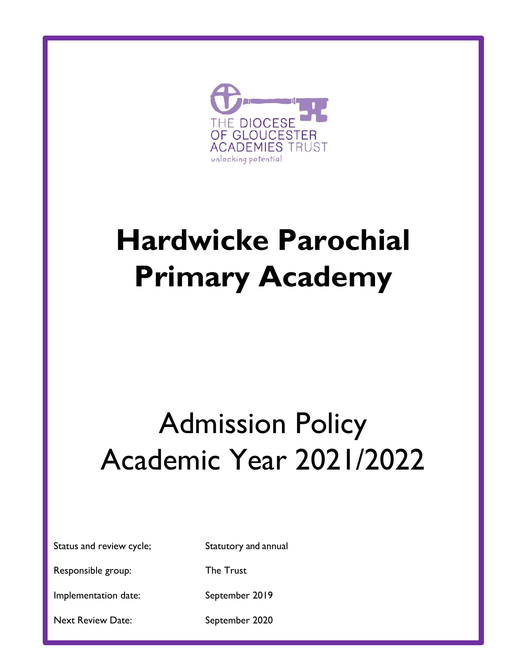

# **Hardwicke Parochial Primary Academy**

# Admission Policy Academic Year 2021/2022

Status and review cycle; Statutory and annual

Responsible group: The Trust

Implementation date: September 2019

Next Review Date: September 2020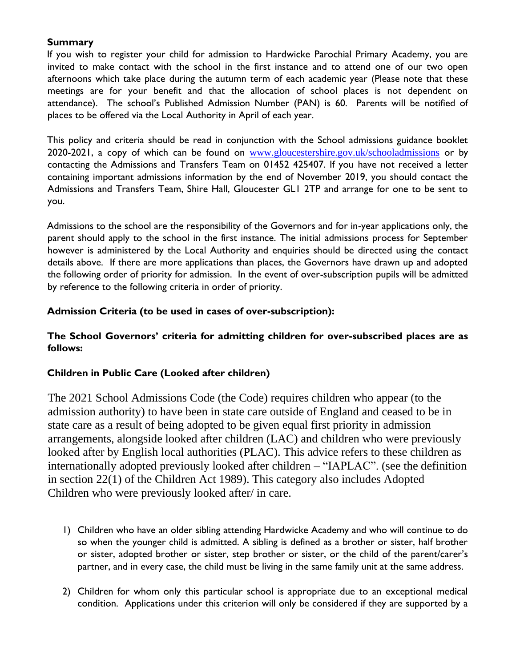# **Summary**

If you wish to register your child for admission to Hardwicke Parochial Primary Academy, you are invited to make contact with the school in the first instance and to attend one of our two open afternoons which take place during the autumn term of each academic year (Please note that these meetings are for your benefit and that the allocation of school places is not dependent on attendance). The school's Published Admission Number (PAN) is 60. Parents will be notified of places to be offered via the Local Authority in April of each year.

This policy and criteria should be read in conjunction with the School admissions guidance booklet 2020-2021, a copy of which can be found on [www.gloucestershire.gov.uk/schooladmissions](http://www.gloucestershire.gov.uk/schooladmissions) [o](http://www.gloucestershire.gov.uk/schooladmissions)r by contacting the Admissions and Transfers Team on 01452 425407. If you have not received a letter containing important admissions information by the end of November 2019, you should contact the Admissions and Transfers Team, Shire Hall, Gloucester GL1 2TP and arrange for one to be sent to you.

Admissions to the school are the responsibility of the Governors and for in-year applications only, the parent should apply to the school in the first instance. The initial admissions process for September however is administered by the Local Authority and enquiries should be directed using the contact details above. If there are more applications than places, the Governors have drawn up and adopted the following order of priority for admission. In the event of over-subscription pupils will be admitted by reference to the following criteria in order of priority.

# **Admission Criteria (to be used in cases of over-subscription):**

# **The School Governors' criteria for admitting children for over-subscribed places are as follows:**

### **Children in Public Care (Looked after children)**

The 2021 School Admissions Code (the Code) requires children who appear (to the admission authority) to have been in state care outside of England and ceased to be in state care as a result of being adopted to be given equal first priority in admission arrangements, alongside looked after children (LAC) and children who were previously looked after by English local authorities (PLAC). This advice refers to these children as internationally adopted previously looked after children – "IAPLAC". (see the definition in section 22(1) of the Children Act 1989). This category also includes Adopted Children who were previously looked after/ in care.

- 1) Children who have an older sibling attending Hardwicke Academy and who will continue to do so when the younger child is admitted. A sibling is defined as a brother or sister, half brother or sister, adopted brother or sister, step brother or sister, or the child of the parent/carer's partner, and in every case, the child must be living in the same family unit at the same address.
- 2) Children for whom only this particular school is appropriate due to an exceptional medical condition. Applications under this criterion will only be considered if they are supported by a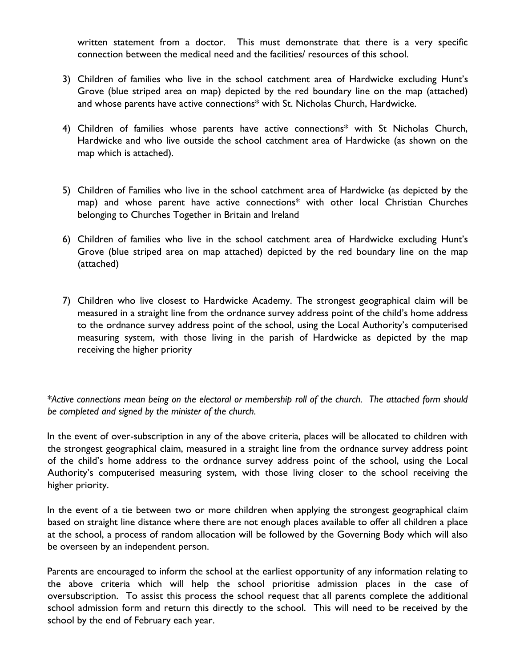written statement from a doctor. This must demonstrate that there is a very specific connection between the medical need and the facilities/ resources of this school.

- 3) Children of families who live in the school catchment area of Hardwicke excluding Hunt's Grove (blue striped area on map) depicted by the red boundary line on the map (attached) and whose parents have active connections\* with St. Nicholas Church, Hardwicke.
- 4) Children of families whose parents have active connections\* with St Nicholas Church, Hardwicke and who live outside the school catchment area of Hardwicke (as shown on the map which is attached).
- 5) Children of Families who live in the school catchment area of Hardwicke (as depicted by the map) and whose parent have active connections\* with other local Christian Churches belonging to Churches Together in Britain and Ireland
- 6) Children of families who live in the school catchment area of Hardwicke excluding Hunt's Grove (blue striped area on map attached) depicted by the red boundary line on the map (attached)
- 7) Children who live closest to Hardwicke Academy. The strongest geographical claim will be measured in a straight line from the ordnance survey address point of the child's home address to the ordnance survey address point of the school, using the Local Authority's computerised measuring system, with those living in the parish of Hardwicke as depicted by the map receiving the higher priority

*\*Active connections mean being on the electoral or membership roll of the church. The attached form should be completed and signed by the minister of the church.* 

In the event of over-subscription in any of the above criteria, places will be allocated to children with the strongest geographical claim, measured in a straight line from the ordnance survey address point of the child's home address to the ordnance survey address point of the school, using the Local Authority's computerised measuring system, with those living closer to the school receiving the higher priority.

In the event of a tie between two or more children when applying the strongest geographical claim based on straight line distance where there are not enough places available to offer all children a place at the school, a process of random allocation will be followed by the Governing Body which will also be overseen by an independent person.

Parents are encouraged to inform the school at the earliest opportunity of any information relating to the above criteria which will help the school prioritise admission places in the case of oversubscription. To assist this process the school request that all parents complete the additional school admission form and return this directly to the school. This will need to be received by the school by the end of February each year.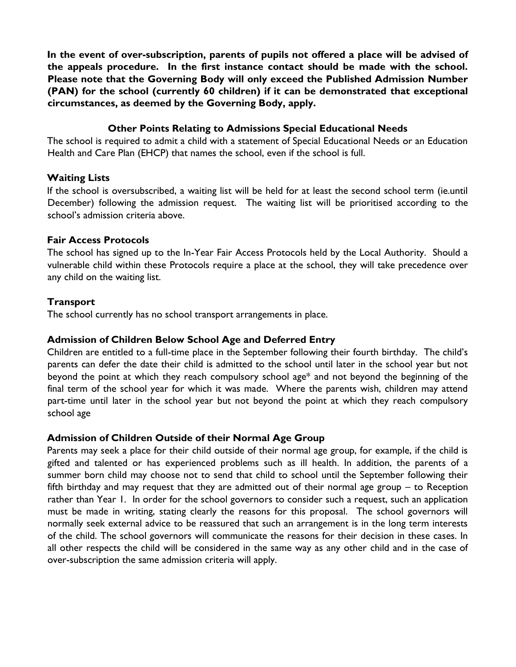**In the event of over-subscription, parents of pupils not offered a place will be advised of the appeals procedure. In the first instance contact should be made with the school. Please note that the Governing Body will only exceed the Published Admission Number (PAN) for the school (currently 60 children) if it can be demonstrated that exceptional circumstances, as deemed by the Governing Body, apply.** 

#### **Other Points Relating to Admissions Special Educational Needs**

The school is required to admit a child with a statement of Special Educational Needs or an Education Health and Care Plan (EHCP) that names the school, even if the school is full.

#### **Waiting Lists**

If the school is oversubscribed, a waiting list will be held for at least the second school term (ie.until December) following the admission request. The waiting list will be prioritised according to the school's admission criteria above.

#### **Fair Access Protocols**

The school has signed up to the In-Year Fair Access Protocols held by the Local Authority. Should a vulnerable child within these Protocols require a place at the school, they will take precedence over any child on the waiting list.

#### **Transport**

The school currently has no school transport arrangements in place.

### **Admission of Children Below School Age and Deferred Entry**

Children are entitled to a full-time place in the September following their fourth birthday. The child's parents can defer the date their child is admitted to the school until later in the school year but not beyond the point at which they reach compulsory school age\* and not beyond the beginning of the final term of the school year for which it was made. Where the parents wish, children may attend part-time until later in the school year but not beyond the point at which they reach compulsory school age

#### **Admission of Children Outside of their Normal Age Group**

Parents may seek a place for their child outside of their normal age group, for example, if the child is gifted and talented or has experienced problems such as ill health. In addition, the parents of a summer born child may choose not to send that child to school until the September following their fifth birthday and may request that they are admitted out of their normal age group – to Reception rather than Year 1. In order for the school governors to consider such a request, such an application must be made in writing, stating clearly the reasons for this proposal. The school governors will normally seek external advice to be reassured that such an arrangement is in the long term interests of the child. The school governors will communicate the reasons for their decision in these cases. In all other respects the child will be considered in the same way as any other child and in the case of over-subscription the same admission criteria will apply.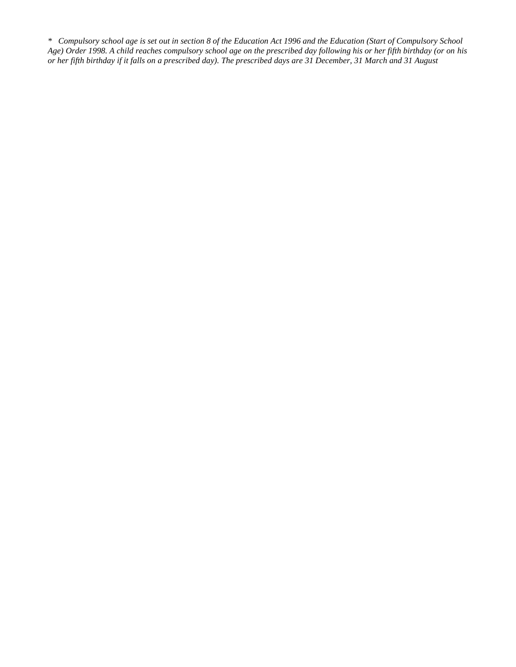*\* Compulsory school age is set out in section 8 of the Education Act 1996 and the Education (Start of Compulsory School Age) Order 1998. A child reaches compulsory school age on the prescribed day following his or her fifth birthday (or on his or her fifth birthday if it falls on a prescribed day). The prescribed days are 31 December, 31 March and 31 August*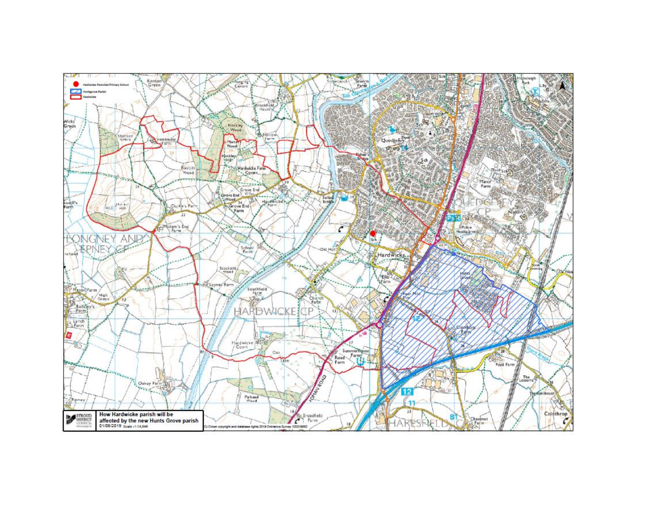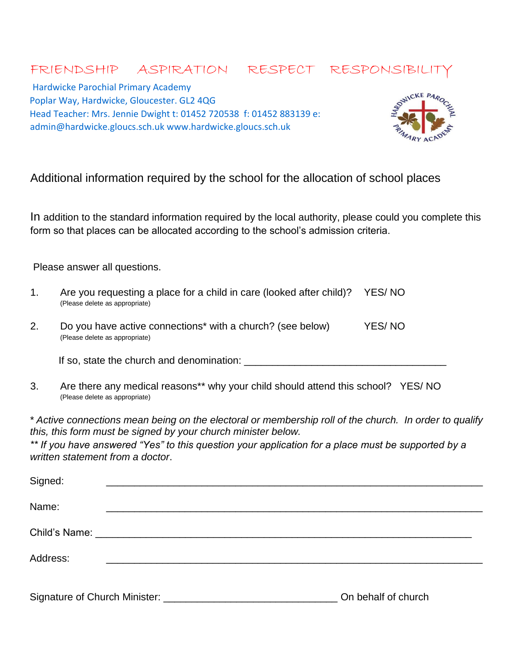# FRIENDSHIP ASPIRATION RESPECT RESPONSIBILIT

Hardwicke Parochial Primary Academy Poplar Way, Hardwicke, Gloucester. GL2 4QG Head Teacher: Mrs. Jennie Dwight t: 01452 720538 f: 01452 883139 e: admin@hardwicke.gloucs.sch.uk www.hardwicke.gloucs.sch.uk



# Additional information required by the school for the allocation of school places

In addition to the standard information required by the local authority, please could you complete this form so that places can be allocated according to the school's admission criteria.

Please answer all questions.

| 1. | Are you requesting a place for a child in care (looked after child)?<br>(Please delete as appropriate) | YES/NO |
|----|--------------------------------------------------------------------------------------------------------|--------|
| 2. | Do you have active connections* with a church? (see below)<br>(Please delete as appropriate)           | YES/NO |
|    | If so, state the church and denomination:                                                              |        |

3. Are there any medical reasons\*\* why your child should attend this school? YES/ NO (Please delete as appropriate)

*\* Active connections mean being on the electoral or membership roll of the church. In order to qualify this, this form must be signed by your church minister below.* 

*\*\* If you have answered "Yes" to this question your application for a place must be supported by a written statement from a doctor*.

| Signed:                                         |                     |
|-------------------------------------------------|---------------------|
| Name:                                           |                     |
|                                                 |                     |
| Address:                                        |                     |
| Signature of Church Minister: _________________ | On behalf of church |